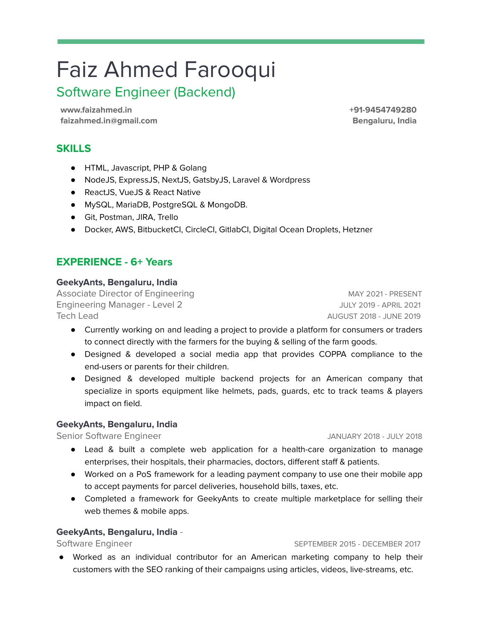# Faiz Ahmed Farooqui

## Software Engineer (Backend)

**www.faizahmed.in faizahmed.in@gmail.com** **+91-9454749280 Bengaluru, India**

## **SKILLS**

- HTML, Javascript, PHP & Golang
- NodeJS, ExpressJS, NextJS, GatsbyJS, Laravel & Wordpress
- ReactJS, VueJS & React Native
- MySQL, MariaDB, PostgreSQL & MongoDB.
- Git, Postman, JIRA, Trello
- Docker, AWS, BitbucketCI, CircleCI, GitlabCI, Digital Ocean Droplets, Hetzner

## **EXPERIENCE - 6+ Years**

#### **GeekyAnts, Bengaluru, India**

Associate Director of Engineering MAY 2021 - PRESENT Engineering Manager - Level 2 JULY 2019 - APRIL 2021 Tech Lead AUGUST 2018 - JUNE 2019

- Currently working on and leading a project to provide a platform for consumers or traders to connect directly with the farmers for the buying & selling of the farm goods.
- Designed & developed a social media app that provides COPPA compliance to the end-users or parents for their children.
- Designed & developed multiple backend projects for an American company that specialize in sports equipment like helmets, pads, guards, etc to track teams & players impact on field.

#### **GeekyAnts, Bengaluru, India**

Senior Software Engineer **JANUARY 2018** - JULY 2018

- Lead & built a complete web application for a health-care organization to manage enterprises, their hospitals, their pharmacies, doctors, different staff & patients.
- Worked on a PoS framework for a leading payment company to use one their mobile app to accept payments for parcel deliveries, household bills, taxes, etc.
- Completed a framework for GeekyAnts to create multiple marketplace for selling their web themes & mobile apps.

#### **GeekyAnts, Bengaluru, India** -

#### Software Engineer September 2015 - DECEMBER 2017

● Worked as an individual contributor for an American marketing company to help their customers with the SEO ranking of their campaigns using articles, videos, live-streams, etc.